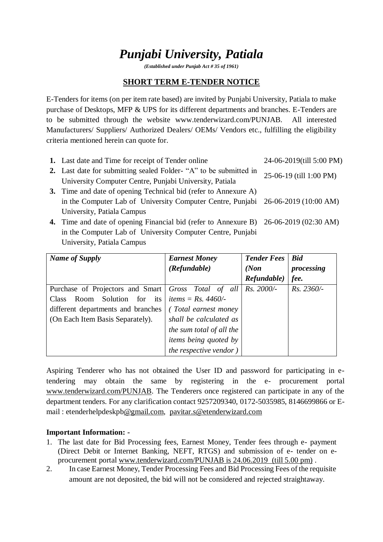# *Punjabi University, Patiala*

*(Established under Punjab Act # 35 of 1961)*

# **SHORT TERM E-TENDER NOTICE**

E-Tenders for items (on per item rate based) are invited by Punjabi University, Patiala to make purchase of Desktops, MFP & UPS for its different departments and branches. E-Tenders are to be submitted through the website www.tenderwizard.com/PUNJAB. All interested Manufacturers/ Suppliers/ Authorized Dealers/ OEMs/ Vendors etc., fulfilling the eligibility criteria mentioned herein can quote for.

| 1. Last date and Time for receipt of Tender online                                    | 24-06-2019(till 5:00 PM) |
|---------------------------------------------------------------------------------------|--------------------------|
| 2. Last date for submitting sealed Folder- "A" to be submitted in                     | 25-06-19 (till 1:00 PM)  |
| University Computer Centre, Punjabi University, Patiala                               |                          |
| 3. Time and date of opening Technical bid (refer to Annexure A)                       |                          |
| in the Computer Lab of University Computer Centre, Punjabi 26-06-2019 (10:00 AM)      |                          |
| University, Patiala Campus                                                            |                          |
| 4. Time and date of opening Financial bid (refer to Annexure B) 26-06-2019 (02:30 AM) |                          |
| in the Computer Lab of University Computer Centre, Punjabi                            |                          |
| University, Patiala Campus                                                            |                          |

| Name of Supply                                      | <b>Earnest Money</b>         | <b>Tender Fees</b> | <b>Bid</b>   |
|-----------------------------------------------------|------------------------------|--------------------|--------------|
|                                                     | (Refundable)                 | (Non)              | processing   |
|                                                     |                              | Refundable)        | fee.         |
| Purchase of Projectors and Smart Gross Total of all |                              | Rs. 2000/-         | $Rs. 2360/-$ |
| Solution for<br>its<br>Room.<br><b>Class</b>        | <i>items = Rs. 4460/-</i>    |                    |              |
| different departments and branches                  | (Total earnest money)        |                    |              |
| (On Each Item Basis Separately).                    | shall be calculated as       |                    |              |
|                                                     | the sum total of all the     |                    |              |
|                                                     | <i>items being quoted by</i> |                    |              |
|                                                     | the respective vendor)       |                    |              |

Aspiring Tenderer who has not obtained the User ID and password for participating in etendering may obtain the same by registering in the e- procurement portal [www.tenderwizard.com/PUNJAB.](http://www.tenderwizard.com/PUNJAB) The Tenderers once registered can participate in any of the department tenders. For any clarification contact 9257209340, 0172-5035985, 8146699866 or Email : etenderhelpdeskp[b@gmail.com,](mailto:@gmail.com) [pavitar.s@etenderwizard.com](mailto:pavitar.s@etenderwizard.com)

### **Important Information: -**

- 1. The last date for Bid Processing fees, Earnest Money, Tender fees through e- payment (Direct Debit or Internet Banking, NEFT, RTGS) and submission of e- tender on eprocurement portal [www.tenderwizard.com/PUNJAB is 24.06.2019](http://www.tenderwizard.com/PUNJAB%20is%2024.06.2019) (till 5.00 pm) .
- 2. In case Earnest Money, Tender Processing Fees and Bid Processing Fees of the requisite amount are not deposited, the bid will not be considered and rejected straightaway.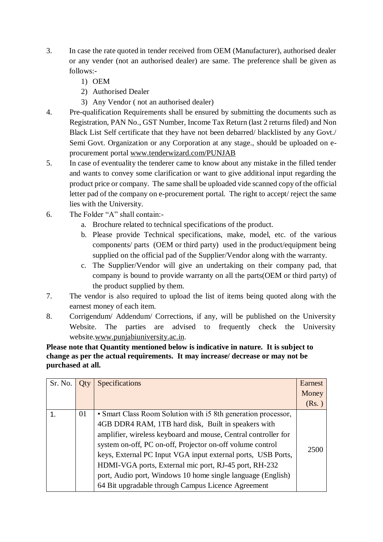- 3. In case the rate quoted in tender received from OEM (Manufacturer), authorised dealer or any vender (not an authorised dealer) are same. The preference shall be given as follows:-
	- 1) OEM
	- 2) Authorised Dealer
	- 3) Any Vendor ( not an authorised dealer)
- 4. Pre-qualification Requirements shall be ensured by submitting the documents such as Registration, PAN No., GST Number, Income Tax Return (last 2 returns filed) and Non Black List Self certificate that they have not been debarred/ blacklisted by any Govt./ Semi Govt. Organization or any Corporation at any stage., should be uploaded on eprocurement portal [www.tenderwizard.com/PUNJAB](http://www.tenderwizard.com/PUNJAB)
- 5. In case of eventuality the tenderer came to know about any mistake in the filled tender and wants to convey some clarification or want to give additional input regarding the product price or company. The same shall be uploaded vide scanned copy of the official letter pad of the company on e-procurement portal. The right to accept/ reject the same lies with the University.
- 6. The Folder "A" shall contain:
	- a. Brochure related to technical specifications of the product.
	- b. Please provide Technical specifications, make, model, etc. of the various components/ parts (OEM or third party) used in the product/equipment being supplied on the official pad of the Supplier/Vendor along with the warranty.
	- c. The Supplier/Vendor will give an undertaking on their company pad, that company is bound to provide warranty on all the parts(OEM or third party) of the product supplied by them.
- 7. The vendor is also required to upload the list of items being quoted along with the earnest money of each item.
- 8. Corrigendum/ Addendum/ Corrections, if any, will be published on the University Website. The parties are advised to frequently check the University website[.www.punjabiuniversity.ac.in.](http://www.punjabiuniversity.ac.in/)

**Please note that Quantity mentioned below is indicative in nature. It is subject to change as per the actual requirements. It may increase/ decrease or may not be purchased at all.**

| Sr. No. | <b>Oty</b> | Specifications                                                                                                                                                                                                                                                                                                                                                                                                                                                                                    | Earnest<br>Money<br>(Rs.) |
|---------|------------|---------------------------------------------------------------------------------------------------------------------------------------------------------------------------------------------------------------------------------------------------------------------------------------------------------------------------------------------------------------------------------------------------------------------------------------------------------------------------------------------------|---------------------------|
|         | 01         | • Smart Class Room Solution with i5 8th generation processor,<br>4GB DDR4 RAM, 1TB hard disk, Built in speakers with<br>amplifier, wireless keyboard and mouse, Central controller for<br>system on-off, PC on-off, Projector on-off volume control<br>keys, External PC Input VGA input external ports, USB Ports,<br>HDMI-VGA ports, External mic port, RJ-45 port, RH-232<br>port, Audio port, Windows 10 home single language (English)<br>64 Bit upgradable through Campus Licence Agreement | 2500                      |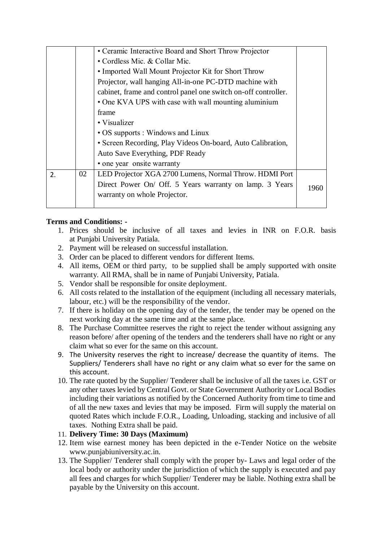|    |    | • Ceramic Interactive Board and Short Throw Projector          |      |
|----|----|----------------------------------------------------------------|------|
|    |    | • Cordless Mic. & Collar Mic.                                  |      |
|    |    | • Imported Wall Mount Projector Kit for Short Throw            |      |
|    |    | Projector, wall hanging All-in-one PC-DTD machine with         |      |
|    |    | cabinet, frame and control panel one switch on-off controller. |      |
|    |    | • One KVA UPS with case with wall mounting aluminium           |      |
|    |    | frame                                                          |      |
|    |    | • Visualizer                                                   |      |
|    |    | • OS supports : Windows and Linux                              |      |
|    |    | • Screen Recording, Play Videos On-board, Auto Calibration,    |      |
|    |    | Auto Save Everything, PDF Ready                                |      |
|    |    | • one year onsite warranty                                     |      |
| 2. | 02 | LED Projector XGA 2700 Lumens, Normal Throw. HDMI Port         |      |
|    |    | Direct Power On/ Off. 5 Years warranty on lamp. 3 Years        | 1960 |
|    |    | warranty on whole Projector.                                   |      |
|    |    |                                                                |      |

### **Terms and Conditions: -**

- 1. Prices should be inclusive of all taxes and levies in INR on F.O.R. basis at Punjabi University Patiala.
- 2. Payment will be released on successful installation.
- 3. Order can be placed to different vendors for different Items.
- 4. All items, OEM or third party, to be supplied shall be amply supported with onsite warranty. All RMA, shall be in name of Punjabi University, Patiala.
- 5. Vendor shall be responsible for onsite deployment.
- 6. All costs related to the installation of the equipment (including all necessary materials, labour, etc.) will be the responsibility of the vendor.
- 7. If there is holiday on the opening day of the tender, the tender may be opened on the next working day at the same time and at the same place.
- 8. The Purchase Committee reserves the right to reject the tender without assigning any reason before/ after opening of the tenders and the tenderers shall have no right or any claim what so ever for the same on this account.
- 9. The University reserves the right to increase/ decrease the quantity of items. The Suppliers/ Tenderers shall have no right or any claim what so ever for the same on this account.
- 10. The rate quoted by the Supplier/ Tenderer shall be inclusive of all the taxes i.e. GST or any other taxes levied by Central Govt. or State Government Authority or Local Bodies including their variations as notified by the Concerned Authority from time to time and of all the new taxes and levies that may be imposed. Firm will supply the material on quoted Rates which include F.O.R., Loading, Unloading, stacking and inclusive of all taxes. Nothing Extra shall be paid.

### 11. **Delivery Time: 30 Days (Maximum)**

- 12. Item wise earnest money has been depicted in the e-Tender Notice on the website www.punjabiuniversity.ac.in.
- 13. The Supplier/ Tenderer shall comply with the proper by- Laws and legal order of the local body or authority under the jurisdiction of which the supply is executed and pay all fees and charges for which Supplier/ Tenderer may be liable. Nothing extra shall be payable by the University on this account.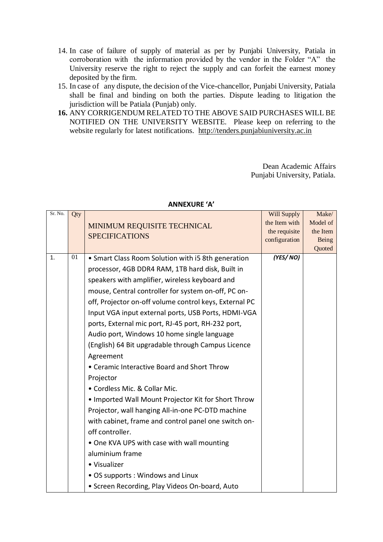- 14. In case of failure of supply of material as per by Punjabi University, Patiala in corroboration with the information provided by the vendor in the Folder "A" the University reserve the right to reject the supply and can forfeit the earnest money deposited by the firm.
- 15. In case of any dispute, the decision of the Vice-chancellor, Punjabi University, Patiala shall be final and binding on both the parties. Dispute leading to litigation the jurisdiction will be Patiala (Punjab) only.
- **16.** ANY CORRIGENDUM RELATED TO THE ABOVE SAID PURCHASES WILL BE NOTIFIED ON THE UNIVERSITY WEBSITE. Please keep on referring to the website regularly for latest notifications. [http://tenders.punjabiuniversity.ac.in](http://tenders.punjabiuniversity.ac.in/)

Dean Academic Affairs Punjabi University, Patiala.

| Sr. No. | Qty |                                                        | Will Supply   | Make/    |
|---------|-----|--------------------------------------------------------|---------------|----------|
|         |     | MINIMUM REQUISITE TECHNICAL<br><b>SPECIFICATIONS</b>   | the Item with | Model of |
|         |     |                                                        | the requisite | the Item |
|         |     |                                                        | configuration | Being    |
|         |     |                                                        |               | Quoted   |
| 1.      | 01  | • Smart Class Room Solution with i5 8th generation     | (YES/NO)      |          |
|         |     | processor, 4GB DDR4 RAM, 1TB hard disk, Built in       |               |          |
|         |     | speakers with amplifier, wireless keyboard and         |               |          |
|         |     | mouse, Central controller for system on-off, PC on-    |               |          |
|         |     | off, Projector on-off volume control keys, External PC |               |          |
|         |     | Input VGA input external ports, USB Ports, HDMI-VGA    |               |          |
|         |     | ports, External mic port, RJ-45 port, RH-232 port,     |               |          |
|         |     | Audio port, Windows 10 home single language            |               |          |
|         |     | (English) 64 Bit upgradable through Campus Licence     |               |          |
|         |     | Agreement                                              |               |          |
|         |     | • Ceramic Interactive Board and Short Throw            |               |          |
|         |     | Projector                                              |               |          |
|         |     | · Cordless Mic. & Collar Mic.                          |               |          |
|         |     | . Imported Wall Mount Projector Kit for Short Throw    |               |          |
|         |     | Projector, wall hanging All-in-one PC-DTD machine      |               |          |
|         |     | with cabinet, frame and control panel one switch on-   |               |          |
|         |     | off controller.                                        |               |          |
|         |     | • One KVA UPS with case with wall mounting             |               |          |
|         |     | aluminium frame                                        |               |          |
|         |     | • Visualizer                                           |               |          |
|         |     | • OS supports: Windows and Linux                       |               |          |
|         |     | • Screen Recording, Play Videos On-board, Auto         |               |          |

#### **ANNEXURE 'A'**